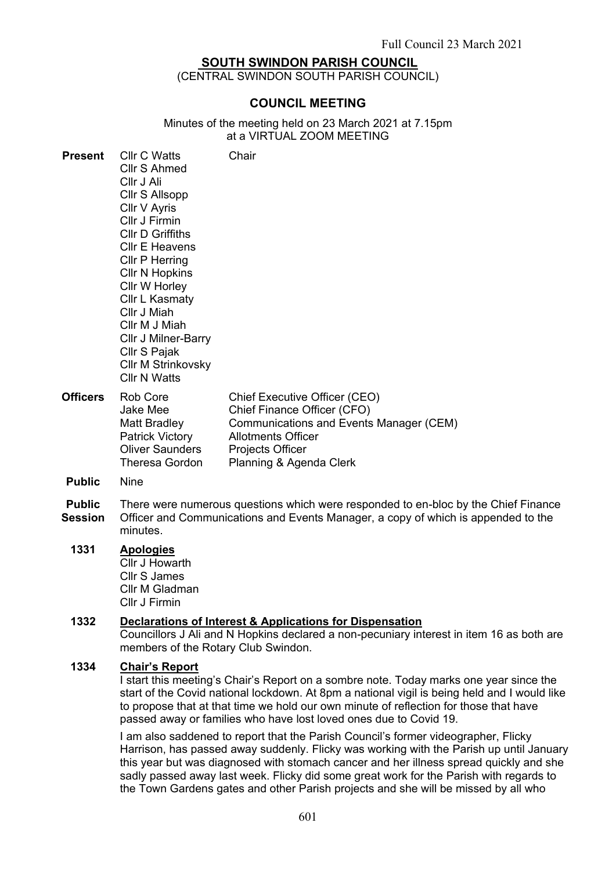### **SOUTH SWINDON PARISH COUNCIL**

(CENTRAL SWINDON SOUTH PARISH COUNCIL)

### **COUNCIL MEETING**

Minutes of the meeting held on 23 March 2021 at 7.15pm at a VIRTUAL ZOOM MEETING

 $\sim$ 

| rresent                         | <b>UII U WALIS</b><br><b>Cllr S Ahmed</b><br>CIIr J Ali<br>Cllr S Allsopp<br>Cllr V Ayris<br>Cllr J Firmin<br><b>CIIr D Griffiths</b><br><b>CIIr E Heavens</b><br>Cllr P Herring<br><b>CIIr N Hopkins</b><br>Cllr W Horley<br><b>Cllr L Kasmaty</b><br>Cllr J Miah<br>Cllr M J Miah<br>Cllr J Milner-Barry<br>Cllr S Pajak<br>Cllr M Strinkovsky<br><b>CIIr N Watts</b> | Unair                                                                                                                                                                               |
|---------------------------------|-------------------------------------------------------------------------------------------------------------------------------------------------------------------------------------------------------------------------------------------------------------------------------------------------------------------------------------------------------------------------|-------------------------------------------------------------------------------------------------------------------------------------------------------------------------------------|
| <b>Officers</b>                 | Rob Core<br>Jake Mee<br>Matt Bradley<br><b>Patrick Victory</b><br><b>Oliver Saunders</b><br><b>Theresa Gordon</b>                                                                                                                                                                                                                                                       | Chief Executive Officer (CEO)<br>Chief Finance Officer (CFO)<br>Communications and Events Manager (CEM)<br><b>Allotments Officer</b><br>Projects Officer<br>Planning & Agenda Clerk |
| <b>Public</b>                   | <b>Nine</b>                                                                                                                                                                                                                                                                                                                                                             |                                                                                                                                                                                     |
| <b>Public</b><br><b>Session</b> | There were numerous questions which were responded to en-bloc by the Chief Finance<br>Officer and Communications and Events Manager, a copy of which is appended to the<br>minutes.                                                                                                                                                                                     |                                                                                                                                                                                     |
| 1331                            | <b>Apologies</b><br>Cllr J Howarth<br><b>Cllr S James</b><br>Cllr M Gladman<br>Cllr J Firmin                                                                                                                                                                                                                                                                            |                                                                                                                                                                                     |

### **1332 Declarations of Interest & Applications for Dispensation**

Councillors J Ali and N Hopkins declared a non-pecuniary interest in item 16 as both are members of the Rotary Club Swindon.

#### **1334 Chair's Report**

**Present** Cllr C Watts

I start this meeting's Chair's Report on a sombre note. Today marks one year since the start of the Covid national lockdown. At 8pm a national vigil is being held and I would like to propose that at that time we hold our own minute of reflection for those that have passed away or families who have lost loved ones due to Covid 19.

I am also saddened to report that the Parish Council's former videographer, Flicky Harrison, has passed away suddenly. Flicky was working with the Parish up until January this year but was diagnosed with stomach cancer and her illness spread quickly and she sadly passed away last week. Flicky did some great work for the Parish with regards to the Town Gardens gates and other Parish projects and she will be missed by all who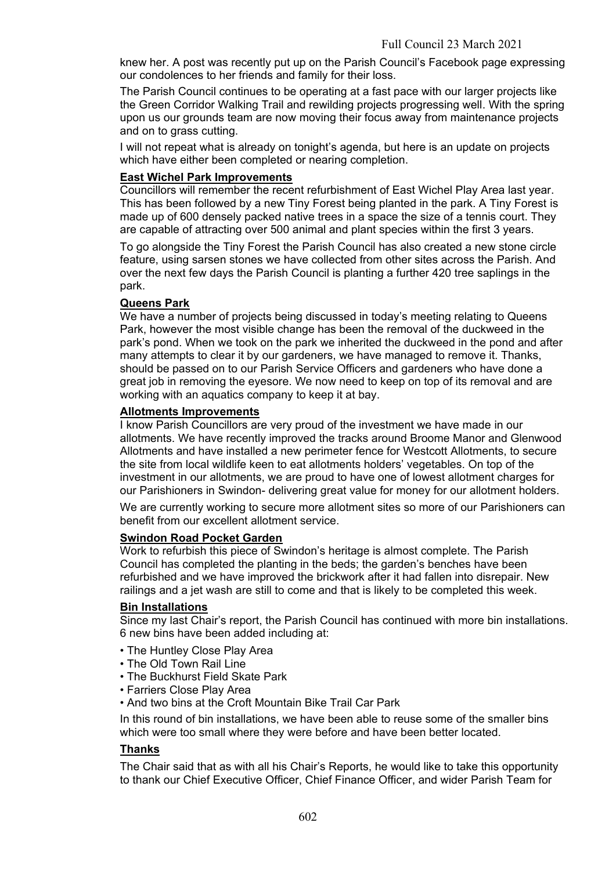knew her. A post was recently put up on the Parish Council's Facebook page expressing our condolences to her friends and family for their loss.

The Parish Council continues to be operating at a fast pace with our larger projects like the Green Corridor Walking Trail and rewilding projects progressing well. With the spring upon us our grounds team are now moving their focus away from maintenance projects and on to grass cutting.

I will not repeat what is already on tonight's agenda, but here is an update on projects which have either been completed or nearing completion.

### **East Wichel Park Improvements**

Councillors will remember the recent refurbishment of East Wichel Play Area last year. This has been followed by a new Tiny Forest being planted in the park. A Tiny Forest is made up of 600 densely packed native trees in a space the size of a tennis court. They are capable of attracting over 500 animal and plant species within the first 3 years.

To go alongside the Tiny Forest the Parish Council has also created a new stone circle feature, using sarsen stones we have collected from other sites across the Parish. And over the next few days the Parish Council is planting a further 420 tree saplings in the park.

### **Queens Park**

We have a number of projects being discussed in today's meeting relating to Queens Park, however the most visible change has been the removal of the duckweed in the park's pond. When we took on the park we inherited the duckweed in the pond and after many attempts to clear it by our gardeners, we have managed to remove it. Thanks, should be passed on to our Parish Service Officers and gardeners who have done a great job in removing the eyesore. We now need to keep on top of its removal and are working with an aquatics company to keep it at bay.

### **Allotments Improvements**

I know Parish Councillors are very proud of the investment we have made in our allotments. We have recently improved the tracks around Broome Manor and Glenwood Allotments and have installed a new perimeter fence for Westcott Allotments, to secure the site from local wildlife keen to eat allotments holders' vegetables. On top of the investment in our allotments, we are proud to have one of lowest allotment charges for our Parishioners in Swindon- delivering great value for money for our allotment holders.

We are currently working to secure more allotment sites so more of our Parishioners can benefit from our excellent allotment service.

### **Swindon Road Pocket Garden**

Work to refurbish this piece of Swindon's heritage is almost complete. The Parish Council has completed the planting in the beds; the garden's benches have been refurbished and we have improved the brickwork after it had fallen into disrepair. New railings and a jet wash are still to come and that is likely to be completed this week.

### **Bin Installations**

Since my last Chair's report, the Parish Council has continued with more bin installations. 6 new bins have been added including at:

- The Huntley Close Play Area
- The Old Town Rail Line
- The Buckhurst Field Skate Park
- Farriers Close Play Area
- And two bins at the Croft Mountain Bike Trail Car Park

In this round of bin installations, we have been able to reuse some of the smaller bins which were too small where they were before and have been better located.

# **Thanks**

The Chair said that as with all his Chair's Reports, he would like to take this opportunity to thank our Chief Executive Officer, Chief Finance Officer, and wider Parish Team for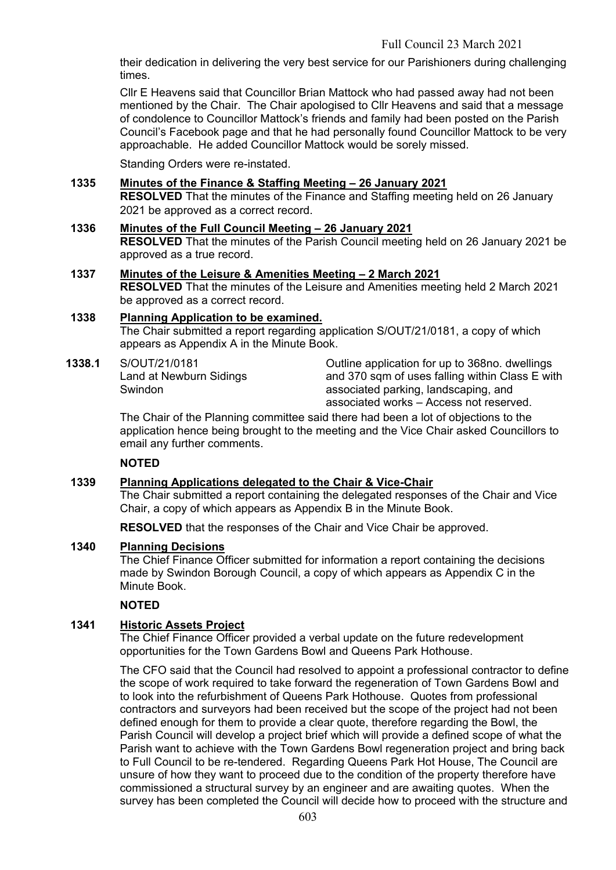their dedication in delivering the very best service for our Parishioners during challenging times.

Cllr E Heavens said that Councillor Brian Mattock who had passed away had not been mentioned by the Chair. The Chair apologised to Cllr Heavens and said that a message of condolence to Councillor Mattock's friends and family had been posted on the Parish Council's Facebook page and that he had personally found Councillor Mattock to be very approachable. He added Councillor Mattock would be sorely missed.

Standing Orders were re-instated.

## **1335 Minutes of the Finance & Staffing Meeting – 26 January 2021**

**RESOLVED** That the minutes of the Finance and Staffing meeting held on 26 January 2021 be approved as a correct record.

#### **1336 Minutes of the Full Council Meeting – 26 January 2021 RESOLVED** That the minutes of the Parish Council meeting held on 26 January 2021 be approved as a true record.

### **1337 Minutes of the Leisure & Amenities Meeting – 2 March 2021**

**RESOLVED** That the minutes of the Leisure and Amenities meeting held 2 March 2021 be approved as a correct record.

### **1338 Planning Application to be examined.**

The Chair submitted a report regarding application S/OUT/21/0181, a copy of which appears as Appendix A in the Minute Book.

### **1338.1** S/OUT/21/0181

Land at Newburn Sidings **Swindon** 

Outline application for up to 368no. dwellings and 370 sqm of uses falling within Class E with associated parking, landscaping, and associated works – Access not reserved.

The Chair of the Planning committee said there had been a lot of objections to the application hence being brought to the meeting and the Vice Chair asked Councillors to email any further comments.

### **NOTED**

### **1339 Planning Applications delegated to the Chair & Vice-Chair**

The Chair submitted a report containing the delegated responses of the Chair and Vice Chair, a copy of which appears as Appendix B in the Minute Book.

**RESOLVED** that the responses of the Chair and Vice Chair be approved.

### **1340 Planning Decisions**

The Chief Finance Officer submitted for information a report containing the decisions made by Swindon Borough Council, a copy of which appears as Appendix C in the Minute Book.

### **NOTED**

### **1341 Historic Assets Project**

The Chief Finance Officer provided a verbal update on the future redevelopment opportunities for the Town Gardens Bowl and Queens Park Hothouse.

The CFO said that the Council had resolved to appoint a professional contractor to define the scope of work required to take forward the regeneration of Town Gardens Bowl and to look into the refurbishment of Queens Park Hothouse. Quotes from professional contractors and surveyors had been received but the scope of the project had not been defined enough for them to provide a clear quote, therefore regarding the Bowl, the Parish Council will develop a project brief which will provide a defined scope of what the Parish want to achieve with the Town Gardens Bowl regeneration project and bring back to Full Council to be re-tendered. Regarding Queens Park Hot House, The Council are unsure of how they want to proceed due to the condition of the property therefore have commissioned a structural survey by an engineer and are awaiting quotes. When the survey has been completed the Council will decide how to proceed with the structure and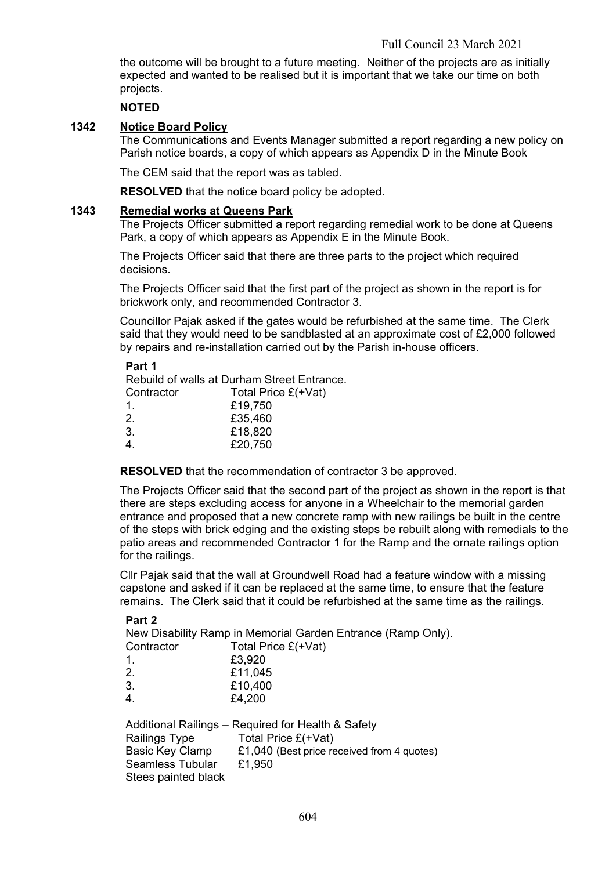the outcome will be brought to a future meeting. Neither of the projects are as initially expected and wanted to be realised but it is important that we take our time on both projects.

### **NOTED**

### **1342 Notice Board Policy**

The Communications and Events Manager submitted a report regarding a new policy on Parish notice boards, a copy of which appears as Appendix D in the Minute Book

The CEM said that the report was as tabled.

**RESOLVED** that the notice board policy be adopted.

#### **1343 Remedial works at Queens Park**

The Projects Officer submitted a report regarding remedial work to be done at Queens Park, a copy of which appears as Appendix E in the Minute Book.

The Projects Officer said that there are three parts to the project which required decisions.

The Projects Officer said that the first part of the project as shown in the report is for brickwork only, and recommended Contractor 3.

Councillor Pajak asked if the gates would be refurbished at the same time. The Clerk said that they would need to be sandblasted at an approximate cost of £2,000 followed by repairs and re-installation carried out by the Parish in-house officers.

#### **Part 1**

Rebuild of walls at Durham Street Entrance. Contractor Total Price £(+Vat)

| <b>UUITUQUU</b> | 10(a) 110c L |
|-----------------|--------------|
| .1.             | £19,750      |
| 2.              | £35,460      |
| 3.              | £18,820      |
| 4 <sub>1</sub>  | £20,750      |
|                 |              |

**RESOLVED** that the recommendation of contractor 3 be approved.

The Projects Officer said that the second part of the project as shown in the report is that there are steps excluding access for anyone in a Wheelchair to the memorial garden entrance and proposed that a new concrete ramp with new railings be built in the centre of the steps with brick edging and the existing steps be rebuilt along with remedials to the patio areas and recommended Contractor 1 for the Ramp and the ornate railings option for the railings.

Cllr Pajak said that the wall at Groundwell Road had a feature window with a missing capstone and asked if it can be replaced at the same time, to ensure that the feature remains. The Clerk said that it could be refurbished at the same time as the railings.

#### **Part 2**

New Disability Ramp in Memorial Garden Entrance (Ramp Only).

| Contractor             | Total Price £(+Vat) |
|------------------------|---------------------|
| 1                      | £3,920              |
| 2.                     | £11,045             |
| 3.                     | £10,400             |
| $\boldsymbol{\Lambda}$ | na noo              |

4. £4,200

|                         | Additional Railings - Required for Health & Safety |
|-------------------------|----------------------------------------------------|
| Railings Type           | Total Price £(+Vat)                                |
| Basic Key Clamp         | £1,040 (Best price received from 4 quotes)         |
| <b>Seamless Tubular</b> | £1.950                                             |
| Stees painted black     |                                                    |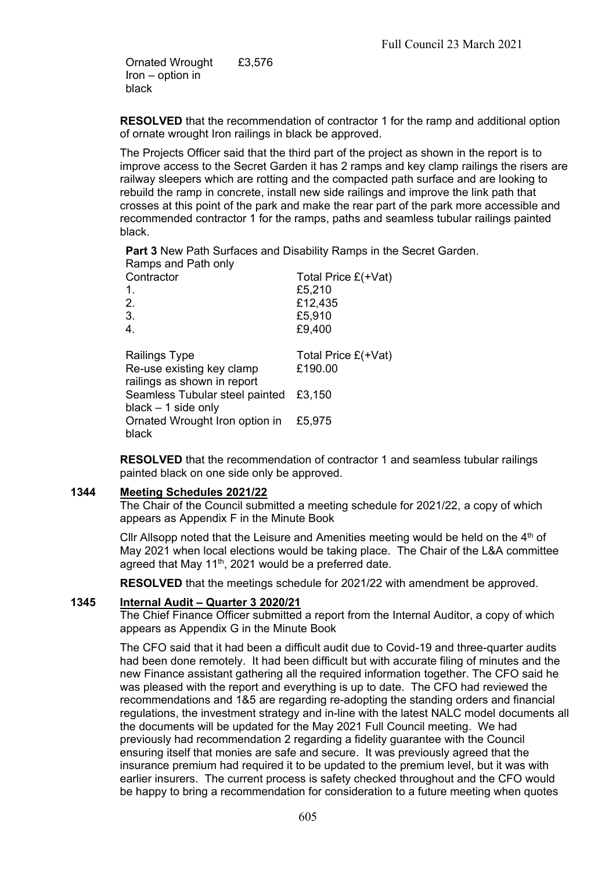Ornated Wrought Iron – option in black £3,576

**RESOLVED** that the recommendation of contractor 1 for the ramp and additional option of ornate wrought Iron railings in black be approved.

The Projects Officer said that the third part of the project as shown in the report is to improve access to the Secret Garden it has 2 ramps and key clamp railings the risers are railway sleepers which are rotting and the compacted path surface and are looking to rebuild the ramp in concrete, install new side railings and improve the link path that crosses at this point of the park and make the rear part of the park more accessible and recommended contractor 1 for the ramps, paths and seamless tubular railings painted black.

**Part 3** New Path Surfaces and Disability Ramps in the Secret Garden. Ramps and Path only

| Contractor<br>1.<br>2.<br>3.<br>$\overline{4}$ .                                 | Total Price £(+Vat)<br>£5,210<br>£12,435<br>£5,910<br>£9,400 |
|----------------------------------------------------------------------------------|--------------------------------------------------------------|
| <b>Railings Type</b><br>Re-use existing key clamp<br>railings as shown in report | Total Price $E(+\text{Vat})$<br>£190.00                      |
| Seamless Tubular steel painted<br>$black - 1$ side only                          | £3,150                                                       |
| Ornated Wrought Iron option in<br>black                                          | £5,975                                                       |

**RESOLVED** that the recommendation of contractor 1 and seamless tubular railings painted black on one side only be approved.

#### **1344 Meeting Schedules 2021/22**

The Chair of the Council submitted a meeting schedule for 2021/22, a copy of which appears as Appendix F in the Minute Book

Cllr Allsopp noted that the Leisure and Amenities meeting would be held on the  $4<sup>th</sup>$  of May 2021 when local elections would be taking place. The Chair of the L&A committee agreed that May 11<sup>th</sup>, 2021 would be a preferred date.

**RESOLVED** that the meetings schedule for 2021/22 with amendment be approved.

#### **1345 Internal Audit – Quarter 3 2020/21**

The Chief Finance Officer submitted a report from the Internal Auditor, a copy of which appears as Appendix G in the Minute Book

The CFO said that it had been a difficult audit due to Covid-19 and three-quarter audits had been done remotely. It had been difficult but with accurate filing of minutes and the new Finance assistant gathering all the required information together. The CFO said he was pleased with the report and everything is up to date. The CFO had reviewed the recommendations and 1&5 are regarding re-adopting the standing orders and financial regulations, the investment strategy and in-line with the latest NALC model documents all the documents will be updated for the May 2021 Full Council meeting. We had previously had recommendation 2 regarding a fidelity guarantee with the Council ensuring itself that monies are safe and secure. It was previously agreed that the insurance premium had required it to be updated to the premium level, but it was with earlier insurers. The current process is safety checked throughout and the CFO would be happy to bring a recommendation for consideration to a future meeting when quotes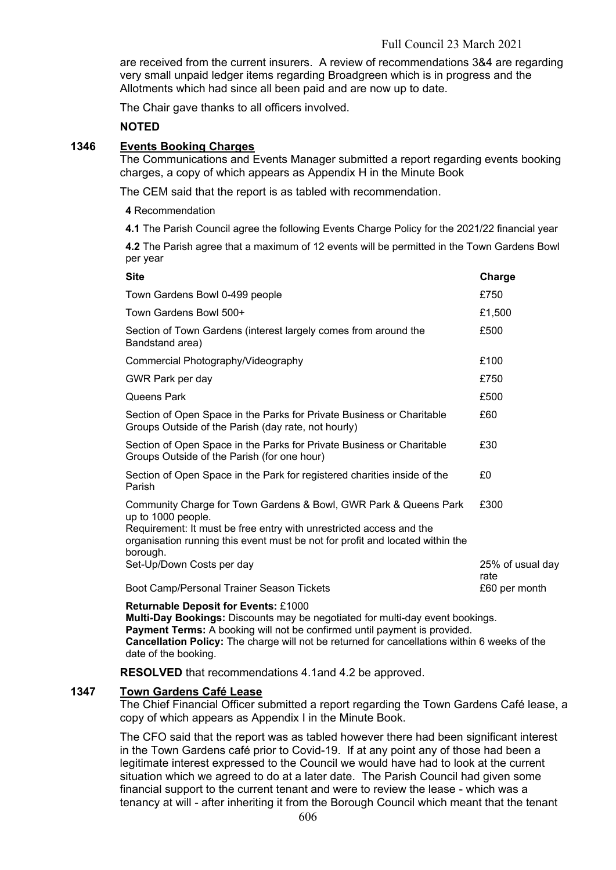are received from the current insurers. A review of recommendations 3&4 are regarding very small unpaid ledger items regarding Broadgreen which is in progress and the Allotments which had since all been paid and are now up to date.

The Chair gave thanks to all officers involved.

### **NOTED**

#### **1346 Events Booking Charges**

The Communications and Events Manager submitted a report regarding events booking charges, a copy of which appears as Appendix H in the Minute Book

The CEM said that the report is as tabled with recommendation.

**4** Recommendation

**4.1** The Parish Council agree the following Events Charge Policy for the 2021/22 financial year

**4.2** The Parish agree that a maximum of 12 events will be permitted in the Town Gardens Bowl per year

| <b>Site</b>                                                                                                                                                                                                                                                | Charge                   |
|------------------------------------------------------------------------------------------------------------------------------------------------------------------------------------------------------------------------------------------------------------|--------------------------|
| Town Gardens Bowl 0-499 people                                                                                                                                                                                                                             | £750                     |
| Town Gardens Bowl 500+                                                                                                                                                                                                                                     | £1,500                   |
| Section of Town Gardens (interest largely comes from around the<br>Bandstand area)                                                                                                                                                                         | £500                     |
| Commercial Photography/Videography                                                                                                                                                                                                                         | £100                     |
| GWR Park per day                                                                                                                                                                                                                                           | £750                     |
| Queens Park                                                                                                                                                                                                                                                | £500                     |
| Section of Open Space in the Parks for Private Business or Charitable<br>Groups Outside of the Parish (day rate, not hourly)                                                                                                                               | £60                      |
| Section of Open Space in the Parks for Private Business or Charitable<br>Groups Outside of the Parish (for one hour)                                                                                                                                       | £30                      |
| Section of Open Space in the Park for registered charities inside of the<br>Parish                                                                                                                                                                         | £0                       |
| Community Charge for Town Gardens & Bowl, GWR Park & Queens Park<br>up to 1000 people.<br>Requirement: It must be free entry with unrestricted access and the<br>organisation running this event must be not for profit and located within the<br>borough. | £300                     |
| Set-Up/Down Costs per day                                                                                                                                                                                                                                  | 25% of usual day<br>rate |
| Boot Camp/Personal Trainer Season Tickets                                                                                                                                                                                                                  | £60 per month            |
|                                                                                                                                                                                                                                                            |                          |

#### **Returnable Deposit for Events:** £1000

**Multi-Day Bookings:** Discounts may be negotiated for multi-day event bookings. **Payment Terms:** A booking will not be confirmed until payment is provided. **Cancellation Policy:** The charge will not be returned for cancellations within 6 weeks of the date of the booking.

**RESOLVED** that recommendations 4.1and 4.2 be approved.

#### **1347 Town Gardens Café Lease**

The Chief Financial Officer submitted a report regarding the Town Gardens Café lease, a copy of which appears as Appendix I in the Minute Book.

The CFO said that the report was as tabled however there had been significant interest in the Town Gardens café prior to Covid-19. If at any point any of those had been a legitimate interest expressed to the Council we would have had to look at the current situation which we agreed to do at a later date. The Parish Council had given some financial support to the current tenant and were to review the lease - which was a tenancy at will - after inheriting it from the Borough Council which meant that the tenant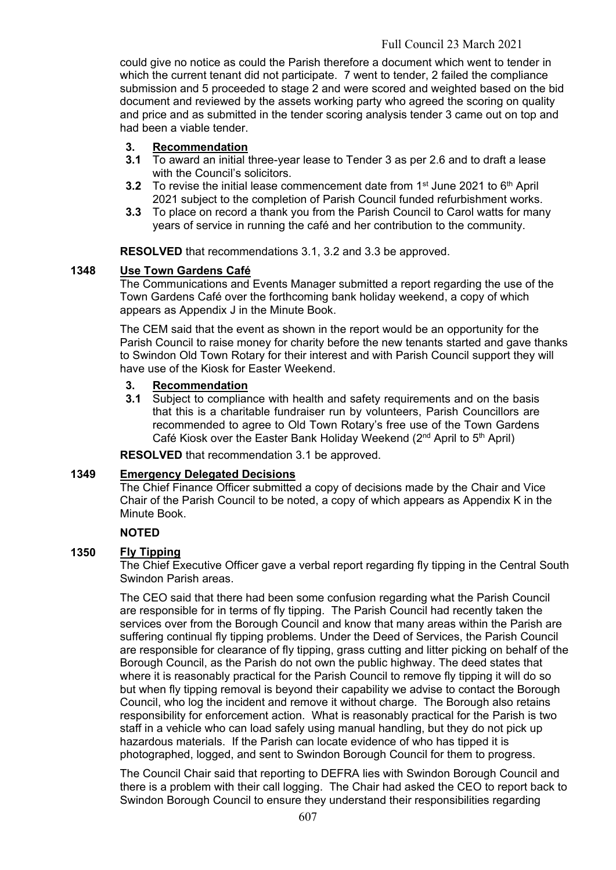could give no notice as could the Parish therefore a document which went to tender in which the current tenant did not participate. 7 went to tender, 2 failed the compliance submission and 5 proceeded to stage 2 and were scored and weighted based on the bid document and reviewed by the assets working party who agreed the scoring on quality and price and as submitted in the tender scoring analysis tender 3 came out on top and had been a viable tender.

# **3. Recommendation**

- **3.1** To award an initial three-year lease to Tender 3 as per 2.6 and to draft a lease with the Council's solicitors.
- **3.2** To revise the initial lease commencement date from 1<sup>st</sup> June 2021 to 6<sup>th</sup> April 2021 subject to the completion of Parish Council funded refurbishment works.
- **3.3** To place on record a thank you from the Parish Council to Carol watts for many years of service in running the café and her contribution to the community.

**RESOLVED** that recommendations 3.1, 3.2 and 3.3 be approved.

### **1348 Use Town Gardens Café**

The Communications and Events Manager submitted a report regarding the use of the Town Gardens Café over the forthcoming bank holiday weekend, a copy of which appears as Appendix J in the Minute Book.

The CEM said that the event as shown in the report would be an opportunity for the Parish Council to raise money for charity before the new tenants started and gave thanks to Swindon Old Town Rotary for their interest and with Parish Council support they will have use of the Kiosk for Easter Weekend.

### **3. Recommendation**

**3.1** Subject to compliance with health and safety requirements and on the basis that this is a charitable fundraiser run by volunteers, Parish Councillors are recommended to agree to Old Town Rotary's free use of the Town Gardens Café Kiosk over the Easter Bank Holiday Weekend  $(2^{nd}$  April to 5<sup>th</sup> April)

**RESOLVED** that recommendation 3.1 be approved.

### **1349 Emergency Delegated Decisions**

The Chief Finance Officer submitted a copy of decisions made by the Chair and Vice Chair of the Parish Council to be noted, a copy of which appears as Appendix K in the Minute Book.

### **NOTED**

### **1350 Fly Tipping**

The Chief Executive Officer gave a verbal report regarding fly tipping in the Central South Swindon Parish areas.

The CEO said that there had been some confusion regarding what the Parish Council are responsible for in terms of fly tipping. The Parish Council had recently taken the services over from the Borough Council and know that many areas within the Parish are suffering continual fly tipping problems. Under the Deed of Services, the Parish Council are responsible for clearance of fly tipping, grass cutting and litter picking on behalf of the Borough Council, as the Parish do not own the public highway. The deed states that where it is reasonably practical for the Parish Council to remove fly tipping it will do so but when fly tipping removal is beyond their capability we advise to contact the Borough Council, who log the incident and remove it without charge. The Borough also retains responsibility for enforcement action. What is reasonably practical for the Parish is two staff in a vehicle who can load safely using manual handling, but they do not pick up hazardous materials. If the Parish can locate evidence of who has tipped it is photographed, logged, and sent to Swindon Borough Council for them to progress.

The Council Chair said that reporting to DEFRA lies with Swindon Borough Council and there is a problem with their call logging. The Chair had asked the CEO to report back to Swindon Borough Council to ensure they understand their responsibilities regarding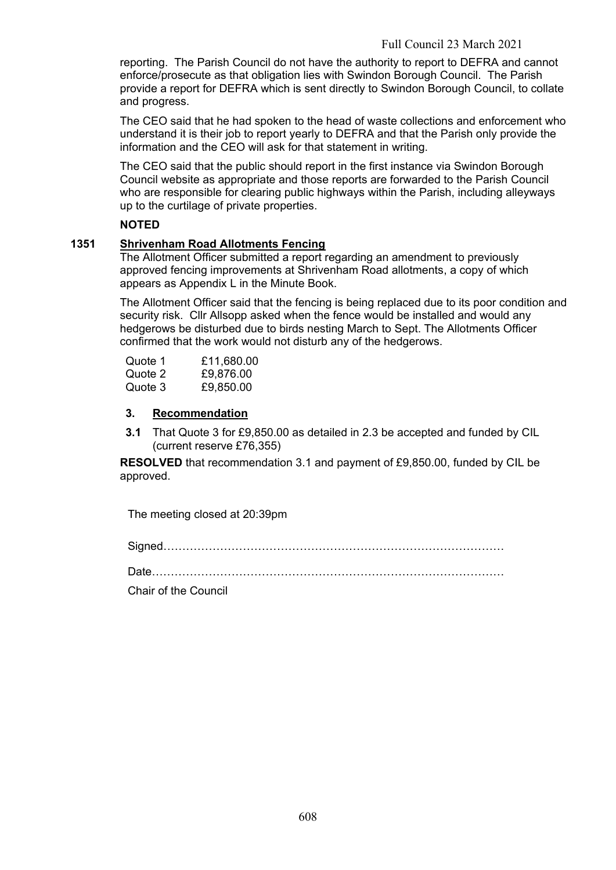reporting. The Parish Council do not have the authority to report to DEFRA and cannot enforce/prosecute as that obligation lies with Swindon Borough Council. The Parish provide a report for DEFRA which is sent directly to Swindon Borough Council, to collate and progress.

The CEO said that he had spoken to the head of waste collections and enforcement who understand it is their job to report yearly to DEFRA and that the Parish only provide the information and the CEO will ask for that statement in writing.

The CEO said that the public should report in the first instance via Swindon Borough Council website as appropriate and those reports are forwarded to the Parish Council who are responsible for clearing public highways within the Parish, including alleyways up to the curtilage of private properties.

### **NOTED**

## **1351 Shrivenham Road Allotments Fencing**

The Allotment Officer submitted a report regarding an amendment to previously approved fencing improvements at Shrivenham Road allotments, a copy of which appears as Appendix L in the Minute Book.

The Allotment Officer said that the fencing is being replaced due to its poor condition and security risk. Cllr Allsopp asked when the fence would be installed and would any hedgerows be disturbed due to birds nesting March to Sept. The Allotments Officer confirmed that the work would not disturb any of the hedgerows.

| Quote 1 | £11,680.00 |
|---------|------------|
| Quote 2 | £9,876.00  |
| Quote 3 | £9,850.00  |

### **3. Recommendation**

**3.1** That Quote 3 for £9,850.00 as detailed in 2.3 be accepted and funded by CIL (current reserve £76,355)

**RESOLVED** that recommendation 3.1 and payment of £9,850.00, funded by CIL be approved.

The meeting closed at 20:39pm

Signed………………………………………………………………………………

Date…………………………………………………………………………………

Chair of the Council